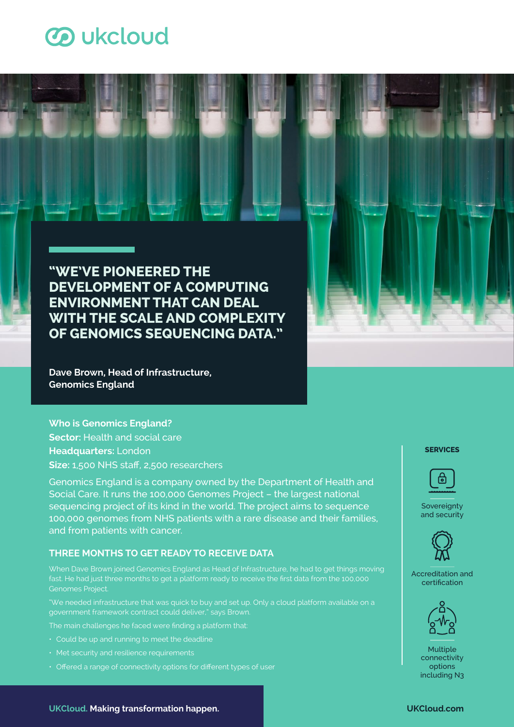# **3** ukcloud

**"WE'VE PIONEERED THE DEVELOPMENT OF A COMPUTING ENVIRONMENT THAT CAN DEAL WITH THE SCALE AND COMPLEXITY OF GENOMICS SEQUENCING DATA."**

**Dave Brown, Head of Infrastructure, Genomics England**

## **Who is Genomics England? Sector: Health and social care**

**Headquarters:** London **Size:** 1,500 NHS staff, 2,500 researchers

Genomics England is a company owned by the Department of Health and Social Care. It runs the 100,000 Genomes Project – the largest national sequencing project of its kind in the world. The project aims to sequence 100,000 genomes from NHS patients with a rare disease and their families, and from patients with cancer.

## **THREE MONTHS TO GET READY TO RECEIVE DATA**

When Dave Brown joined Genomics England as Head of Infrastructure, he had to get things moving fast. He had just three months to get a platform ready to receive the first data from the 100,000 Genomes Project.

"We needed infrastructure that was quick to buy and set up. Only a cloud platform available on a government framework contract could deliver," says Brown.

The main challenges he faced were finding a platform that:

- Could be up and running to meet the deadline
- Met security and resilience requirements
- Offered a range of connectivity options for different types of user

## **SERVICES**



**Sovereignty** and security



Accreditation and certification





**UKCloud. Making transformation happen. UKCloud.com**